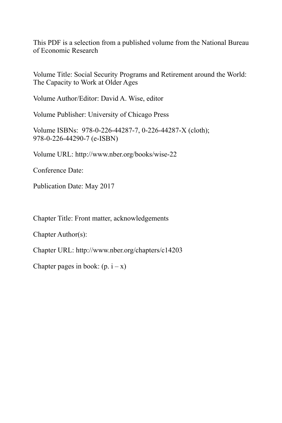This PDF is a selection from a published volume from the National Bureau of Economic Research

Volume Title: Social Security Programs and Retirement around the World: The Capacity to Work at Older Ages

Volume Author/Editor: David A. Wise, editor

Volume Publisher: University of Chicago Press

Volume ISBNs: 978-0-226-44287-7, 0-226-44287-X (cloth); 978-0-226-44290-7 (e-ISBN)

Volume URL: http://www.nber.org/books/wise-22

Conference Date:

Publication Date: May 2017

Chapter Title: Front matter, acknowledgements

Chapter Author(s):

Chapter URL: http://www.nber.org/chapters/c14203

Chapter pages in book:  $(p. i - x)$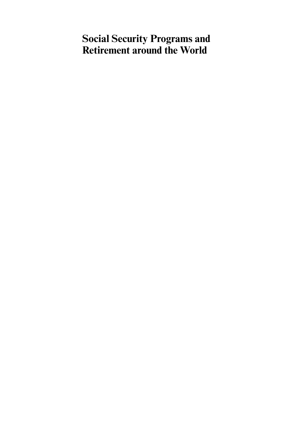## **Social Security Programs and Retirement around the World**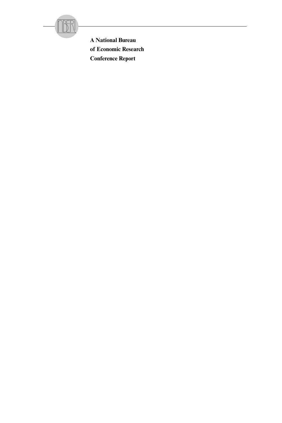

**A National Bureau of Economic Research Conference Report**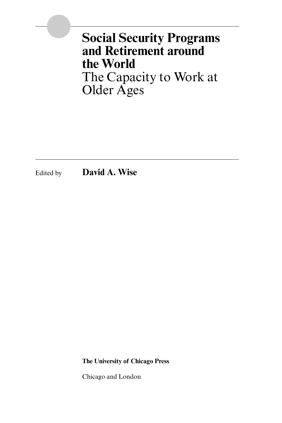# **Social Security Programs and Retirement around the World** The Capacity to Work at Older Ages

Edited by **David A. Wise**

## **The University of Chicago Press**

Chicago and London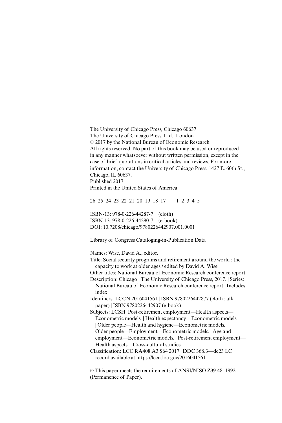The University of Chicago Press, Chicago 60637 The University of Chicago Press, Ltd., London © 2017 by the National Bureau of Economic Research All rights reserved. No part of this book may be used or reproduced in any manner whatsoever without written permission, except in the case of brief quotations in critical articles and reviews. For more information, contact the University of Chicago Press, 1427 E. 60th St., Chicago, IL 60637. Published 2017

Printed in the United States of America

26 25 24 23 22 21 20 19 18 17 1 2 3 4 5

ISBN-13: 978-0-226-44287-7 (cloth) ISBN-13: 978-0-226-44290-7 (e-book) DOI: 10.7208/ chicago/ 9780226442907.001.0001

Library of Congress Cataloging-in-Publication Data

Names: Wise, David A., editor.

Title: Social security programs and retirement around the world : the capacity to work at older ages / edited by David A. Wise.

Other titles: National Bureau of Economic Research conference report.

Description: Chicago : The University of Chicago Press, 2017. | Series: National Bureau of Economic Research conference report | Includes index.

Identifiers: LCCN 2016041561 | ISBN 9780226442877 (cloth : alk. paper) | ISBN 9780226442907 (e-book)

Subjects: LCSH: Post-retirement employment—Health aspects— Econometric models. | Health expectancy—Econometric models. | Older people—Health and hygiene—Econometric models. | Older people—Employment—Econometric models. | Age and employment—Econometric models. | Post-retirement employment— Health aspects—Cross-cultural studies.

Classification: LCC RA408.A3 S64 2017 | DDC 368.3—dc23 LC record available at https://lccn.loc.gov/2016041561

♾ This paper meets the requirements of ANSI/ NISO Z39.48–1992 (Permanence of Paper).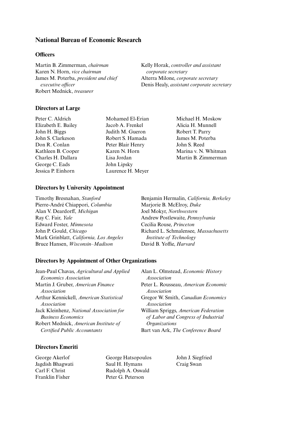### **National Bureau of Economic Research**

#### **Officers**

Martin B. Zimmerman, *chairman* Karen N. Horn, *vice chairman* James M. Poterba, *president and chief executive officer* Robert Mednick, *treasurer*

**Directors at Large**

Peter C. Aldrich Elizabeth E. Bailey John H. Biggs John S. Clarkeson Don R. Conlan Kathleen B. Cooper Charles H. Dallara George C. Eads Jessica P. Einhorn

Kelly Horak, *controller and assistant corporate secretary* Alterra Milone, *corporate secretary* Denis Healy, *assistant corporate secretary*

Mohamed El-Erian Jacob A. Frenkel Judith M. Gueron Robert S. Hamada Peter Blair Henry Karen N. Horn Lisa Jordan John Lipsky Laurence H. Meyer

Michael H. Moskow Alicia H. Munnell Robert T. Parry James M. Poterba John S. Reed Marina v. N. Whitman Martin B. Zimmerman

#### **Directors by University Appointment**

Timothy Bresnahan, *Stanford* Pierre-André Chiappori, *Columbia* Alan V. Deardorff, *Michigan* Ray C. Fair, *Yale* Edward Foster, *Minnesota* John P. Gould, *Chicago* Mark Grinblatt, *California, Los Angeles* Bruce Hansen, *Wisconsin–Madison*

Benjamin Hermalin, *California, Berkeley* Marjorie B. McElroy, *Duke* Joel Mokyr, *Northwestern* Andrew Postlewaite, *Pennsylvania* Cecilia Rouse, *Princeton* Richard L. Schmalensee, *Massachusetts Institute of Technology* David B. Yoffie, *Harvard*

#### **Directors by Appointment of Other Organizations**

Jean-Paul Chavas, *Agricultural and Applied Economics Association* Martin J. Gruber, *American Finance Association* Arthur Kennickell, *American Statistical Association* Jack Kleinhenz, *National Association for Business Economics* Robert Mednick, *American Institute of Certified Public Accountants* Alan L. Olmstead, *Economic History Association* Peter L. Rousseau, *American Economic Association* Gregor W. Smith, *Canadian Economics Association* William Spriggs, *American Federation of Labor and Congress of Industrial Organizations* Bart van Ark, *The Conference Board*

### **Directors Emeriti**

George Akerlof Jagdish Bhagwati Carl F. Christ Franklin Fisher

George Hatsopoulos Saul H. Hymans Rudolph A. Oswald Peter G. Peterson

John J. Siegfried Craig Swan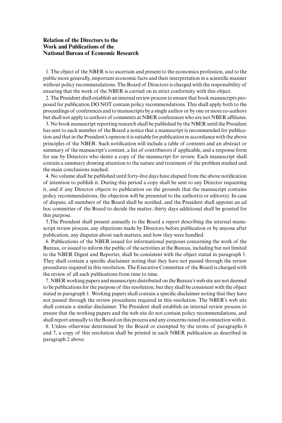#### **Relation of the Directors to the Work and Publications of the National Bureau of Economic Research**

1. The object of the NBER is to ascertain and present to the economics profession, and to the public more generally, important economic facts and their interpretation in a scientific manner without policy recommendations. The Board of Directors is charged with the responsibility of ensuring that the work of the NBER is carried on in strict conformity with this object.

2. The President shall establish an internal review process to ensure that book manuscripts proposed for publication DO NOT contain policy recommendations. This shall apply both to the proceedings of conferences and to manuscripts by a single author or by one or more co-authors but shall not apply to authors of comments at NBER conferences who are not NBER affiliates.

3. No book manuscript reporting research shall be published by the NBER until the President has sent to each member of the Board a notice that a manuscript is recommended for publication and that in the President's opinion it is suitable for publication in accordance with the above principles of the NBER. Such notification will include a table of contents and an abstract or summary of the manuscript's content, a list of contributors if applicable, and a response form for use by Directors who desire a copy of the manuscript for review. Each manuscript shall contain a summary drawing attention to the nature and treatment of the problem studied and the main conclusions reached.

4. No volume shall be published until forty-five days have elapsed from the above notification of intention to publish it. During this period a copy shall be sent to any Director requesting it, and if any Director objects to publication on the grounds that the manuscript contains policy recommendations, the objection will be presented to the author(s) or editor(s). In case of dispute, all members of the Board shall be notified, and the President shall appoint an ad hoc committee of the Board to decide the matter; thirty days additional shall be granted for this purpose.

5.The President shall present annually to the Board a report describing the internal manuscript review process, any objections made by Directors before publication or by anyone after publication, any disputes about such matters, and how they were handled.

6. Publications of the NBER issued for informational purposes concerning the work of the Bureau, or issued to inform the public of the activities at the Bureau, including but not limited to the NBER Digest and Reporter, shall be consistent with the object stated in paragraph 1. They shall contain a specific disclaimer noting that they have not passed through the review procedures required in this resolution. The Executive Committee of the Board is charged with the review of all such publications from time to time.

7. NBER working papers and manuscripts distributed on the Bureau's web site are not deemed to be publications for the purpose of this resolution, but they shall be consistent with the object stated in paragraph 1. Working papers shall contain a specific disclaimer noting that they have not passed through the review procedures required in this resolution. The NBER's web site shall contain a similar disclaimer. The President shall establish an internal review process to ensure that the working papers and the web site do not contain policy recommendations, and shall report annually to the Board on this process and any concerns raised in connection with it.

8. Unless otherwise determined by the Board or exempted by the terms of paragraphs 6 and 7, a copy of this resolution shall be printed in each NBER publication as described in paragraph 2 above.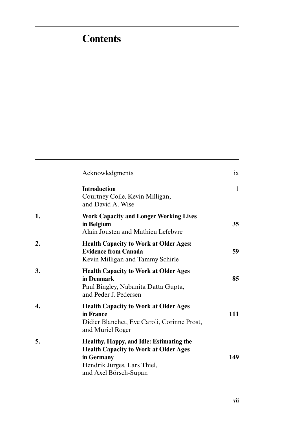# **Contents**

|    | Acknowledgments                                                                                                                                                | ix  |
|----|----------------------------------------------------------------------------------------------------------------------------------------------------------------|-----|
|    | <b>Introduction</b><br>Courtney Coile, Kevin Milligan,<br>and David A. Wise                                                                                    | 1   |
| 1. | <b>Work Capacity and Longer Working Lives</b><br>in Belgium<br>Alain Jousten and Mathieu Lefebvre                                                              | 35  |
| 2. | <b>Health Capacity to Work at Older Ages:</b><br><b>Evidence from Canada</b><br>Kevin Milligan and Tammy Schirle                                               | 59  |
| 3. | <b>Health Capacity to Work at Older Ages</b><br>in Denmark<br>Paul Bingley, Nabanita Datta Gupta,<br>and Peder J. Pedersen                                     | 85  |
| 4. | <b>Health Capacity to Work at Older Ages</b><br>in France<br>Didier Blanchet, Eve Caroli, Corinne Prost,<br>and Muriel Roger                                   | 111 |
| 5. | Healthy, Happy, and Idle: Estimating the<br><b>Health Capacity to Work at Older Ages</b><br>in Germany<br>Hendrik Jürges, Lars Thiel,<br>and Axel Börsch-Supan | 149 |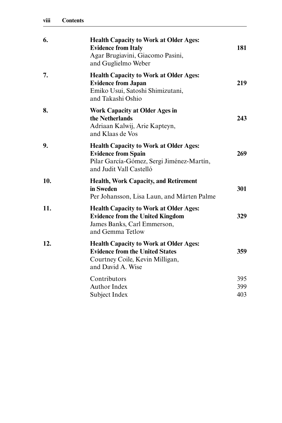| 6.  | <b>Health Capacity to Work at Older Ages:</b><br><b>Evidence from Italy</b><br>Agar Brugiavini, Giacomo Pasini,<br>and Guglielmo Weber              | 181 |
|-----|-----------------------------------------------------------------------------------------------------------------------------------------------------|-----|
| 7.  | <b>Health Capacity to Work at Older Ages:</b><br><b>Evidence from Japan</b><br>Emiko Usui, Satoshi Shimizutani,<br>and Takashi Oshio                | 219 |
| 8.  | <b>Work Capacity at Older Ages in</b><br>the Netherlands<br>Adriaan Kalwij, Arie Kapteyn,<br>and Klaas de Vos                                       | 243 |
| 9.  | <b>Health Capacity to Work at Older Ages:</b><br><b>Evidence from Spain</b><br>Pilar García-Gómez, Sergi Jiménez-Martín,<br>and Judit Vall Castelló | 269 |
| 10. | <b>Health, Work Capacity, and Retirement</b><br>in Sweden<br>Per Johansson, Lisa Laun, and Mårten Palme                                             | 301 |
| 11. | <b>Health Capacity to Work at Older Ages:</b><br><b>Evidence from the United Kingdom</b><br>James Banks, Carl Emmerson,<br>and Gemma Tetlow         | 329 |
| 12. | <b>Health Capacity to Work at Older Ages:</b><br><b>Evidence from the United States</b><br>Courtney Coile, Kevin Milligan,<br>and David A. Wise     | 359 |
|     | Contributors                                                                                                                                        | 395 |
|     | Author Index                                                                                                                                        | 399 |
|     | Subject Index                                                                                                                                       | 403 |